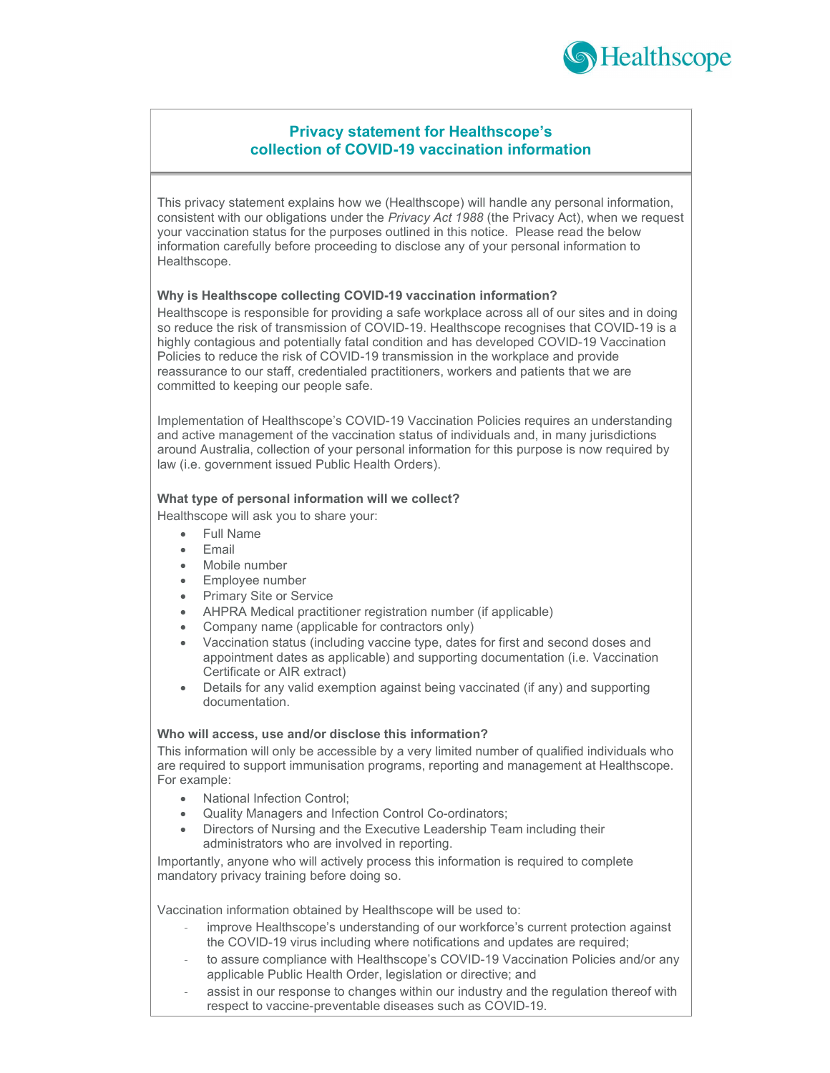

# Privacy statement for Healthscope's collection of COVID-19 vaccination information

This privacy statement explains how we (Healthscope) will handle any personal information, consistent with our obligations under the Privacy Act 1988 (the Privacy Act), when we request your vaccination status for the purposes outlined in this notice. Please read the below information carefully before proceeding to disclose any of your personal information to Healthscope.

# Why is Healthscope collecting COVID-19 vaccination information?

Healthscope is responsible for providing a safe workplace across all of our sites and in doing so reduce the risk of transmission of COVID-19. Healthscope recognises that COVID-19 is a highly contagious and potentially fatal condition and has developed COVID-19 Vaccination Policies to reduce the risk of COVID-19 transmission in the workplace and provide reassurance to our staff, credentialed practitioners, workers and patients that we are committed to keeping our people safe.

Implementation of Healthscope's COVID-19 Vaccination Policies requires an understanding and active management of the vaccination status of individuals and, in many jurisdictions around Australia, collection of your personal information for this purpose is now required by law (i.e. government issued Public Health Orders).

## What type of personal information will we collect?

Healthscope will ask you to share your:

- Full Name
- Email
- Mobile number
- Employee number
- Primary Site or Service
- AHPRA Medical practitioner registration number (if applicable)
- Company name (applicable for contractors only)
- Vaccination status (including vaccine type, dates for first and second doses and appointment dates as applicable) and supporting documentation (i.e. Vaccination Certificate or AIR extract)
- Details for any valid exemption against being vaccinated (if any) and supporting documentation.

## Who will access, use and/or disclose this information?

This information will only be accessible by a very limited number of qualified individuals who are required to support immunisation programs, reporting and management at Healthscope. For example:

- National Infection Control;
- Quality Managers and Infection Control Co-ordinators;
- Directors of Nursing and the Executive Leadership Team including their administrators who are involved in reporting.

Importantly, anyone who will actively process this information is required to complete mandatory privacy training before doing so.

Vaccination information obtained by Healthscope will be used to:

- improve Healthscope's understanding of our workforce's current protection against the COVID-19 virus including where notifications and updates are required;
- to assure compliance with Healthscope's COVID-19 Vaccination Policies and/or any applicable Public Health Order, legislation or directive; and
- assist in our response to changes within our industry and the regulation thereof with respect to vaccine-preventable diseases such as COVID-19.